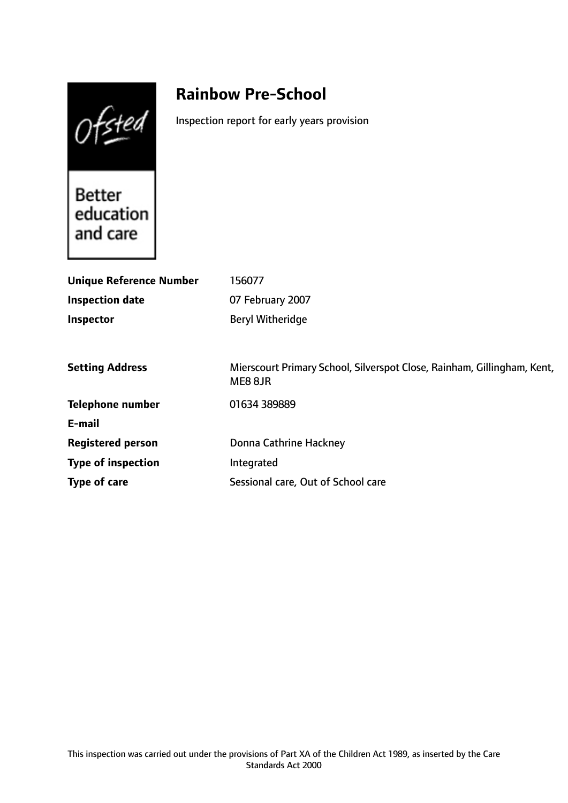$Of<sub>sted</sub>$ 

# **Rainbow Pre-School**

Inspection report for early years provision

Better<br>education and care

| <b>Unique Reference Number</b> | 156077                                                                             |
|--------------------------------|------------------------------------------------------------------------------------|
| <b>Inspection date</b>         | 07 February 2007                                                                   |
| <b>Inspector</b>               | <b>Beryl Witheridge</b>                                                            |
|                                |                                                                                    |
| <b>Setting Address</b>         | Mierscourt Primary School, Silverspot Close, Rainham, Gillingham, Kent,<br>ME8 8JR |
| <b>Telephone number</b>        | 01634 389889                                                                       |
| E-mail                         |                                                                                    |
| <b>Registered person</b>       | Donna Cathrine Hackney                                                             |
| <b>Type of inspection</b>      | Integrated                                                                         |
| Type of care                   | Sessional care, Out of School care                                                 |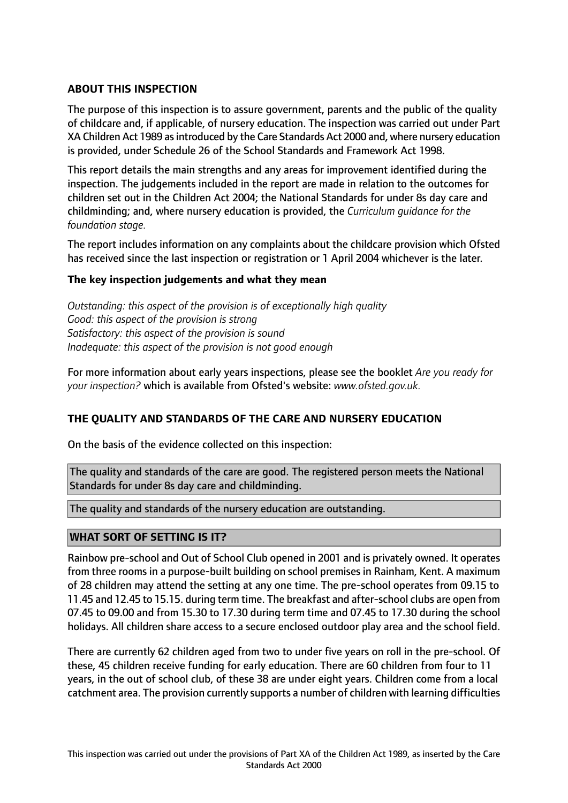# **ABOUT THIS INSPECTION**

The purpose of this inspection is to assure government, parents and the public of the quality of childcare and, if applicable, of nursery education. The inspection was carried out under Part XA Children Act 1989 as introduced by the Care Standards Act 2000 and, where nursery education is provided, under Schedule 26 of the School Standards and Framework Act 1998.

This report details the main strengths and any areas for improvement identified during the inspection. The judgements included in the report are made in relation to the outcomes for children set out in the Children Act 2004; the National Standards for under 8s day care and childminding; and, where nursery education is provided, the *Curriculum guidance for the foundation stage.*

The report includes information on any complaints about the childcare provision which Ofsted has received since the last inspection or registration or 1 April 2004 whichever is the later.

## **The key inspection judgements and what they mean**

*Outstanding: this aspect of the provision is of exceptionally high quality Good: this aspect of the provision is strong Satisfactory: this aspect of the provision is sound Inadequate: this aspect of the provision is not good enough*

For more information about early years inspections, please see the booklet *Are you ready for your inspection?* which is available from Ofsted's website: *www.ofsted.gov.uk.*

## **THE QUALITY AND STANDARDS OF THE CARE AND NURSERY EDUCATION**

On the basis of the evidence collected on this inspection:

The quality and standards of the care are good. The registered person meets the National Standards for under 8s day care and childminding.

The quality and standards of the nursery education are outstanding.

## **WHAT SORT OF SETTING IS IT?**

Rainbow pre-school and Out of School Club opened in 2001 and is privately owned. It operates from three rooms in a purpose-built building on school premises in Rainham, Kent. A maximum of 28 children may attend the setting at any one time. The pre-school operates from 09.15 to 11.45 and 12.45 to 15.15. during term time. The breakfast and after-school clubs are open from 07.45 to 09.00 and from 15.30 to 17.30 during term time and 07.45 to 17.30 during the school holidays. All children share access to a secure enclosed outdoor play area and the school field.

There are currently 62 children aged from two to under five years on roll in the pre-school. Of these, 45 children receive funding for early education. There are 60 children from four to 11 years, in the out of school club, of these 38 are under eight years. Children come from a local catchment area. The provision currently supports a number of children with learning difficulties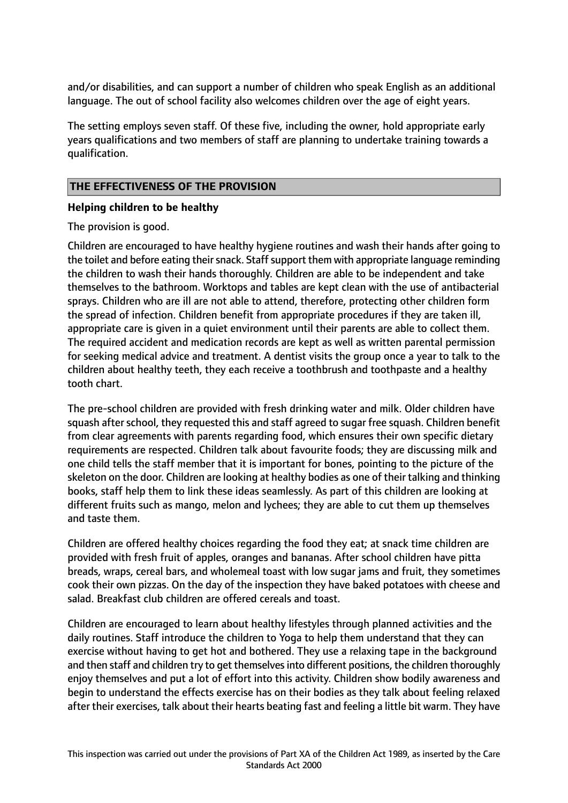and/or disabilities, and can support a number of children who speak English as an additional language. The out of school facility also welcomes children over the age of eight years.

The setting employs seven staff. Of these five, including the owner, hold appropriate early years qualifications and two members of staff are planning to undertake training towards a qualification.

# **THE EFFECTIVENESS OF THE PROVISION**

## **Helping children to be healthy**

The provision is good.

Children are encouraged to have healthy hygiene routines and wash their hands after going to the toilet and before eating their snack. Staff support them with appropriate language reminding the children to wash their hands thoroughly. Children are able to be independent and take themselves to the bathroom. Worktops and tables are kept clean with the use of antibacterial sprays. Children who are ill are not able to attend, therefore, protecting other children form the spread of infection. Children benefit from appropriate procedures if they are taken ill, appropriate care is given in a quiet environment until their parents are able to collect them. The required accident and medication records are kept as well as written parental permission for seeking medical advice and treatment. A dentist visits the group once a year to talk to the children about healthy teeth, they each receive a toothbrush and toothpaste and a healthy tooth chart.

The pre-school children are provided with fresh drinking water and milk. Older children have squash after school, they requested this and staff agreed to sugar free squash. Children benefit from clear agreements with parents regarding food, which ensures their own specific dietary requirements are respected. Children talk about favourite foods; they are discussing milk and one child tells the staff member that it is important for bones, pointing to the picture of the skeleton on the door. Children are looking at healthy bodies as one of their talking and thinking books, staff help them to link these ideas seamlessly. As part of this children are looking at different fruits such as mango, melon and lychees; they are able to cut them up themselves and taste them.

Children are offered healthy choices regarding the food they eat; at snack time children are provided with fresh fruit of apples, oranges and bananas. After school children have pitta breads, wraps, cereal bars, and wholemeal toast with low sugar jams and fruit, they sometimes cook their own pizzas. On the day of the inspection they have baked potatoes with cheese and salad. Breakfast club children are offered cereals and toast.

Children are encouraged to learn about healthy lifestyles through planned activities and the daily routines. Staff introduce the children to Yoga to help them understand that they can exercise without having to get hot and bothered. They use a relaxing tape in the background and then staff and children try to get themselves into different positions, the children thoroughly enjoy themselves and put a lot of effort into this activity. Children show bodily awareness and begin to understand the effects exercise has on their bodies as they talk about feeling relaxed after their exercises, talk about their hearts beating fast and feeling a little bit warm. They have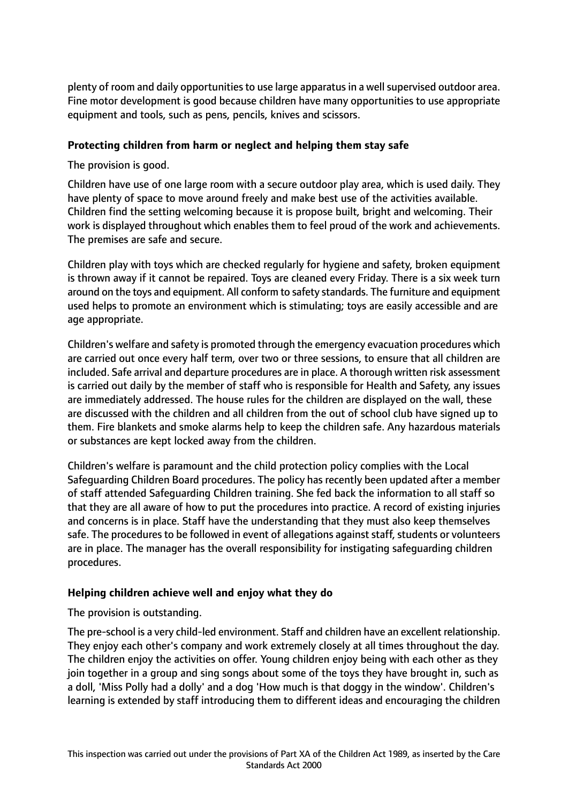plenty of room and daily opportunities to use large apparatus in a well supervised outdoor area. Fine motor development is good because children have many opportunities to use appropriate equipment and tools, such as pens, pencils, knives and scissors.

# **Protecting children from harm or neglect and helping them stay safe**

The provision is good.

Children have use of one large room with a secure outdoor play area, which is used daily. They have plenty of space to move around freely and make best use of the activities available. Children find the setting welcoming because it is propose built, bright and welcoming. Their work is displayed throughout which enables them to feel proud of the work and achievements. The premises are safe and secure.

Children play with toys which are checked regularly for hygiene and safety, broken equipment is thrown away if it cannot be repaired. Toys are cleaned every Friday. There is a six week turn around on the toys and equipment. All conform to safety standards. The furniture and equipment used helps to promote an environment which is stimulating; toys are easily accessible and are age appropriate.

Children's welfare and safety is promoted through the emergency evacuation procedures which are carried out once every half term, over two or three sessions, to ensure that all children are included. Safe arrival and departure procedures are in place. A thorough written risk assessment is carried out daily by the member of staff who is responsible for Health and Safety, any issues are immediately addressed. The house rules for the children are displayed on the wall, these are discussed with the children and all children from the out of school club have signed up to them. Fire blankets and smoke alarms help to keep the children safe. Any hazardous materials or substances are kept locked away from the children.

Children's welfare is paramount and the child protection policy complies with the Local Safeguarding Children Board procedures. The policy has recently been updated after a member of staff attended Safeguarding Children training. She fed back the information to all staff so that they are all aware of how to put the procedures into practice. A record of existing injuries and concerns is in place. Staff have the understanding that they must also keep themselves safe. The procedures to be followed in event of allegations against staff, students or volunteers are in place. The manager has the overall responsibility for instigating safeguarding children procedures.

# **Helping children achieve well and enjoy what they do**

The provision is outstanding.

The pre-school is a very child-led environment. Staff and children have an excellent relationship. They enjoy each other's company and work extremely closely at all times throughout the day. The children enjoy the activities on offer. Young children enjoy being with each other as they join together in a group and sing songs about some of the toys they have brought in, such as a doll, 'Miss Polly had a dolly' and a dog 'How much is that doggy in the window'. Children's learning is extended by staff introducing them to different ideas and encouraging the children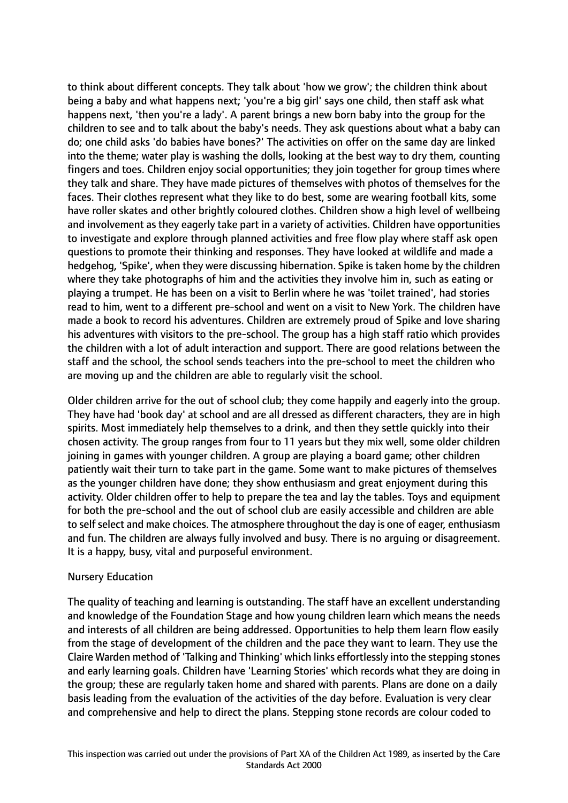to think about different concepts. They talk about 'how we grow'; the children think about being a baby and what happens next; 'you're a big girl' says one child, then staff ask what happens next, 'then you're a lady'. A parent brings a new born baby into the group for the children to see and to talk about the baby's needs. They ask questions about what a baby can do; one child asks 'do babies have bones?' The activities on offer on the same day are linked into the theme; water play is washing the dolls, looking at the best way to dry them, counting fingers and toes. Children enjoy social opportunities; they join together for group times where they talk and share. They have made pictures of themselves with photos of themselves for the faces. Their clothes represent what they like to do best, some are wearing football kits, some have roller skates and other brightly coloured clothes. Children show a high level of wellbeing and involvement as they eagerly take part in a variety of activities. Children have opportunities to investigate and explore through planned activities and free flow play where staff ask open questions to promote their thinking and responses. They have looked at wildlife and made a hedgehog, 'Spike', when they were discussing hibernation. Spike is taken home by the children where they take photographs of him and the activities they involve him in, such as eating or playing a trumpet. He has been on a visit to Berlin where he was 'toilet trained', had stories read to him, went to a different pre-school and went on a visit to New York. The children have made a book to record his adventures. Children are extremely proud of Spike and love sharing his adventures with visitors to the pre-school. The group has a high staff ratio which provides the children with a lot of adult interaction and support. There are good relations between the staff and the school, the school sends teachers into the pre-school to meet the children who are moving up and the children are able to regularly visit the school.

Older children arrive for the out of school club; they come happily and eagerly into the group. They have had 'book day' at school and are all dressed as different characters, they are in high spirits. Most immediately help themselves to a drink, and then they settle quickly into their chosen activity. The group ranges from four to 11 years but they mix well, some older children joining in games with younger children. A group are playing a board game; other children patiently wait their turn to take part in the game. Some want to make pictures of themselves as the younger children have done; they show enthusiasm and great enjoyment during this activity. Older children offer to help to prepare the tea and lay the tables. Toys and equipment for both the pre-school and the out of school club are easily accessible and children are able to self select and make choices. The atmosphere throughout the day is one of eager, enthusiasm and fun. The children are always fully involved and busy. There is no arguing or disagreement. It is a happy, busy, vital and purposeful environment.

#### Nursery Education

The quality of teaching and learning is outstanding. The staff have an excellent understanding and knowledge of the Foundation Stage and how young children learn which means the needs and interests of all children are being addressed. Opportunities to help them learn flow easily from the stage of development of the children and the pace they want to learn. They use the Claire Warden method of 'Talking and Thinking' which links effortlessly into the stepping stones and early learning goals. Children have 'Learning Stories' which records what they are doing in the group; these are regularly taken home and shared with parents. Plans are done on a daily basis leading from the evaluation of the activities of the day before. Evaluation is very clear and comprehensive and help to direct the plans. Stepping stone records are colour coded to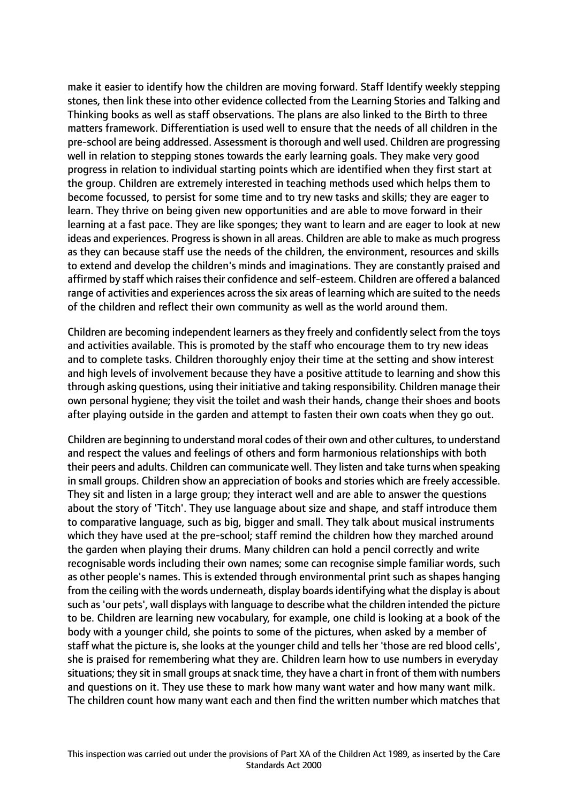make it easier to identify how the children are moving forward. Staff Identify weekly stepping stones, then link these into other evidence collected from the Learning Stories and Talking and Thinking books as well as staff observations. The plans are also linked to the Birth to three matters framework. Differentiation is used well to ensure that the needs of all children in the pre-school are being addressed. Assessment isthorough and well used. Children are progressing well in relation to stepping stones towards the early learning goals. They make very good progress in relation to individual starting points which are identified when they first start at the group. Children are extremely interested in teaching methods used which helps them to become focussed, to persist for some time and to try new tasks and skills; they are eager to learn. They thrive on being given new opportunities and are able to move forward in their learning at a fast pace. They are like sponges; they want to learn and are eager to look at new ideas and experiences. Progress is shown in all areas. Children are able to make as much progress as they can because staff use the needs of the children, the environment, resources and skills to extend and develop the children's minds and imaginations. They are constantly praised and affirmed by staff which raises their confidence and self-esteem. Children are offered a balanced range of activities and experiences across the six areas of learning which are suited to the needs of the children and reflect their own community as well as the world around them.

Children are becoming independent learners as they freely and confidently select from the toys and activities available. This is promoted by the staff who encourage them to try new ideas and to complete tasks. Children thoroughly enjoy their time at the setting and show interest and high levels of involvement because they have a positive attitude to learning and show this through asking questions, using their initiative and taking responsibility. Children manage their own personal hygiene; they visit the toilet and wash their hands, change their shoes and boots after playing outside in the garden and attempt to fasten their own coats when they go out.

Children are beginning to understand moral codes of their own and other cultures, to understand and respect the values and feelings of others and form harmonious relationships with both their peers and adults. Children can communicate well. They listen and take turns when speaking in small groups. Children show an appreciation of books and stories which are freely accessible. They sit and listen in a large group; they interact well and are able to answer the questions about the story of 'Titch'. They use language about size and shape, and staff introduce them to comparative language, such as big, bigger and small. They talk about musical instruments which they have used at the pre-school; staff remind the children how they marched around the garden when playing their drums. Many children can hold a pencil correctly and write recognisable words including their own names; some can recognise simple familiar words, such as other people's names. This is extended through environmental print such as shapes hanging from the ceiling with the words underneath, display boardsidentifying what the display is about such as'our pets', wall displays with language to describe what the children intended the picture to be. Children are learning new vocabulary, for example, one child is looking at a book of the body with a younger child, she points to some of the pictures, when asked by a member of staff what the picture is, she looks at the younger child and tells her 'those are red blood cells', she is praised for remembering what they are. Children learn how to use numbers in everyday situations; they sit in small groups at snack time, they have a chart in front of them with numbers and questions on it. They use these to mark how many want water and how many want milk. The children count how many want each and then find the written number which matches that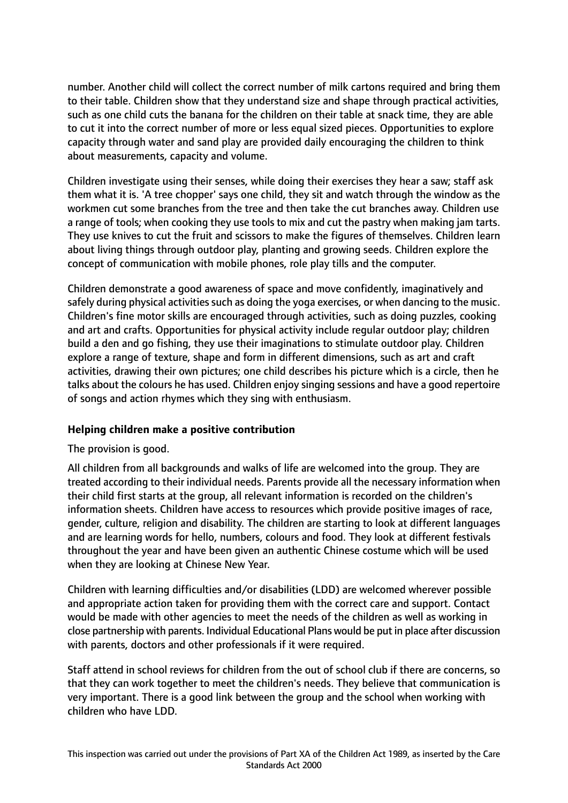number. Another child will collect the correct number of milk cartons required and bring them to their table. Children show that they understand size and shape through practical activities, such as one child cuts the banana for the children on their table at snack time, they are able to cut it into the correct number of more or less equal sized pieces. Opportunities to explore capacity through water and sand play are provided daily encouraging the children to think about measurements, capacity and volume.

Children investigate using their senses, while doing their exercises they hear a saw; staff ask them what it is. 'A tree chopper' says one child, they sit and watch through the window as the workmen cut some branches from the tree and then take the cut branches away. Children use a range of tools; when cooking they use tools to mix and cut the pastry when making jam tarts. They use knives to cut the fruit and scissors to make the figures of themselves. Children learn about living things through outdoor play, planting and growing seeds. Children explore the concept of communication with mobile phones, role play tills and the computer.

Children demonstrate a good awareness of space and move confidently, imaginatively and safely during physical activities such as doing the yoga exercises, or when dancing to the music. Children's fine motor skills are encouraged through activities, such as doing puzzles, cooking and art and crafts. Opportunities for physical activity include regular outdoor play; children build a den and go fishing, they use their imaginations to stimulate outdoor play. Children explore a range of texture, shape and form in different dimensions, such as art and craft activities, drawing their own pictures; one child describes his picture which is a circle, then he talks about the colours he has used. Children enjoy singing sessions and have a good repertoire of songs and action rhymes which they sing with enthusiasm.

## **Helping children make a positive contribution**

The provision is good.

All children from all backgrounds and walks of life are welcomed into the group. They are treated according to their individual needs. Parents provide all the necessary information when their child first starts at the group, all relevant information is recorded on the children's information sheets. Children have access to resources which provide positive images of race, gender, culture, religion and disability. The children are starting to look at different languages and are learning words for hello, numbers, colours and food. They look at different festivals throughout the year and have been given an authentic Chinese costume which will be used when they are looking at Chinese New Year.

Children with learning difficulties and/or disabilities (LDD) are welcomed wherever possible and appropriate action taken for providing them with the correct care and support. Contact would be made with other agencies to meet the needs of the children as well as working in close partnership with parents. Individual Educational Plans would be put in place after discussion with parents, doctors and other professionals if it were required.

Staff attend in school reviews for children from the out of school club if there are concerns, so that they can work together to meet the children's needs. They believe that communication is very important. There is a good link between the group and the school when working with children who have LDD.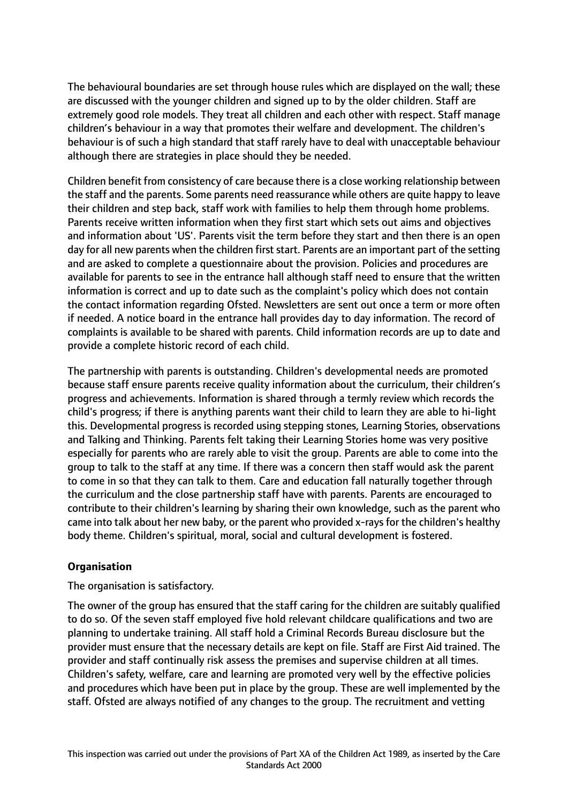The behavioural boundaries are set through house rules which are displayed on the wall; these are discussed with the younger children and signed up to by the older children. Staff are extremely good role models. They treat all children and each other with respect. Staff manage children's behaviour in a way that promotes their welfare and development. The children's behaviour is of such a high standard that staff rarely have to deal with unacceptable behaviour although there are strategies in place should they be needed.

Children benefit from consistency of care because there is a close working relationship between the staff and the parents. Some parents need reassurance while others are quite happy to leave their children and step back, staff work with families to help them through home problems. Parents receive written information when they first start which sets out aims and objectives and information about 'US'. Parents visit the term before they start and then there is an open day for all new parents when the children first start. Parents are an important part of the setting and are asked to complete a questionnaire about the provision. Policies and procedures are available for parents to see in the entrance hall although staff need to ensure that the written information is correct and up to date such as the complaint's policy which does not contain the contact information regarding Ofsted. Newsletters are sent out once a term or more often if needed. A notice board in the entrance hall provides day to day information. The record of complaints is available to be shared with parents. Child information records are up to date and provide a complete historic record of each child.

The partnership with parents is outstanding. Children's developmental needs are promoted because staff ensure parents receive quality information about the curriculum, their children's progress and achievements. Information is shared through a termly review which records the child's progress; if there is anything parents want their child to learn they are able to hi-light this. Developmental progress is recorded using stepping stones, Learning Stories, observations and Talking and Thinking. Parents felt taking their Learning Stories home was very positive especially for parents who are rarely able to visit the group. Parents are able to come into the group to talk to the staff at any time. If there was a concern then staff would ask the parent to come in so that they can talk to them. Care and education fall naturally together through the curriculum and the close partnership staff have with parents. Parents are encouraged to contribute to their children's learning by sharing their own knowledge, such as the parent who came into talk about her new baby, or the parent who provided x-rays for the children's healthy body theme. Children's spiritual, moral, social and cultural development is fostered.

# **Organisation**

The organisation is satisfactory.

The owner of the group has ensured that the staff caring for the children are suitably qualified to do so. Of the seven staff employed five hold relevant childcare qualifications and two are planning to undertake training. All staff hold a Criminal Records Bureau disclosure but the provider must ensure that the necessary details are kept on file. Staff are First Aid trained. The provider and staff continually risk assess the premises and supervise children at all times. Children's safety, welfare, care and learning are promoted very well by the effective policies and procedures which have been put in place by the group. These are well implemented by the staff. Ofsted are always notified of any changes to the group. The recruitment and vetting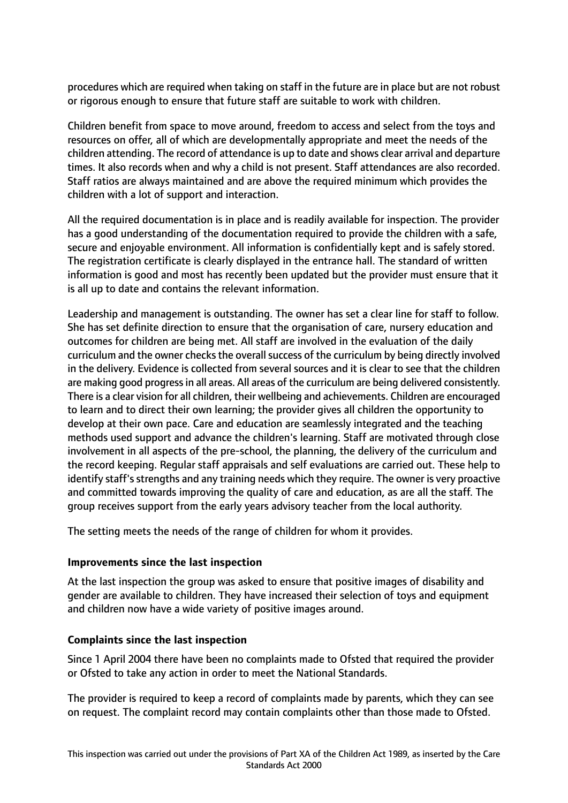procedures which are required when taking on staff in the future are in place but are not robust or rigorous enough to ensure that future staff are suitable to work with children.

Children benefit from space to move around, freedom to access and select from the toys and resources on offer, all of which are developmentally appropriate and meet the needs of the children attending. The record of attendance is up to date and shows clear arrival and departure times. It also records when and why a child is not present. Staff attendances are also recorded. Staff ratios are always maintained and are above the required minimum which provides the children with a lot of support and interaction.

All the required documentation is in place and is readily available for inspection. The provider has a good understanding of the documentation required to provide the children with a safe, secure and enjoyable environment. All information is confidentially kept and is safely stored. The registration certificate is clearly displayed in the entrance hall. The standard of written information is good and most has recently been updated but the provider must ensure that it is all up to date and contains the relevant information.

Leadership and management is outstanding. The owner has set a clear line for staff to follow. She has set definite direction to ensure that the organisation of care, nursery education and outcomes for children are being met. All staff are involved in the evaluation of the daily curriculum and the owner checks the overall success of the curriculum by being directly involved in the delivery. Evidence is collected from several sources and it is clear to see that the children are making good progressin all areas. All areas of the curriculum are being delivered consistently. There is a clear vision for all children, their wellbeing and achievements. Children are encouraged to learn and to direct their own learning; the provider gives all children the opportunity to develop at their own pace. Care and education are seamlessly integrated and the teaching methods used support and advance the children's learning. Staff are motivated through close involvement in all aspects of the pre-school, the planning, the delivery of the curriculum and the record keeping. Regular staff appraisals and self evaluations are carried out. These help to identify staff's strengths and any training needs which they require. The owner is very proactive and committed towards improving the quality of care and education, as are all the staff. The group receives support from the early years advisory teacher from the local authority.

The setting meets the needs of the range of children for whom it provides.

## **Improvements since the last inspection**

At the last inspection the group was asked to ensure that positive images of disability and gender are available to children. They have increased their selection of toys and equipment and children now have a wide variety of positive images around.

# **Complaints since the last inspection**

Since 1 April 2004 there have been no complaints made to Ofsted that required the provider or Ofsted to take any action in order to meet the National Standards.

The provider is required to keep a record of complaints made by parents, which they can see on request. The complaint record may contain complaints other than those made to Ofsted.